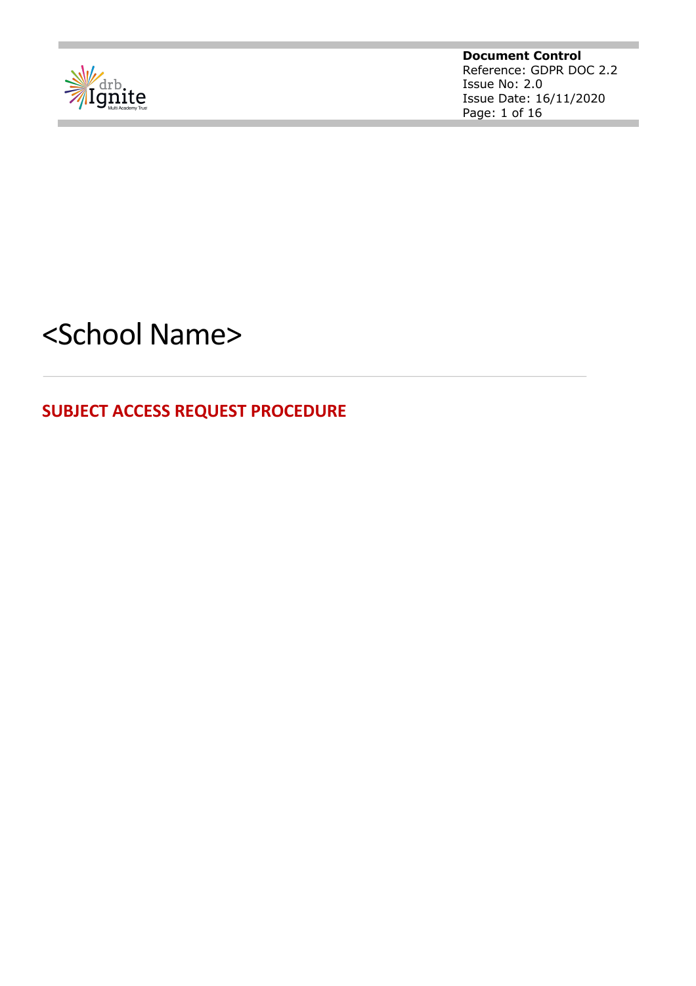

**Document Control** Reference: GDPR DOC 2.2 Issue No: 2.0 Issue Date: 16/11/2020 Page: 1 of 16

# <School Name>

**SUBJECT ACCESS REQUEST PROCEDURE**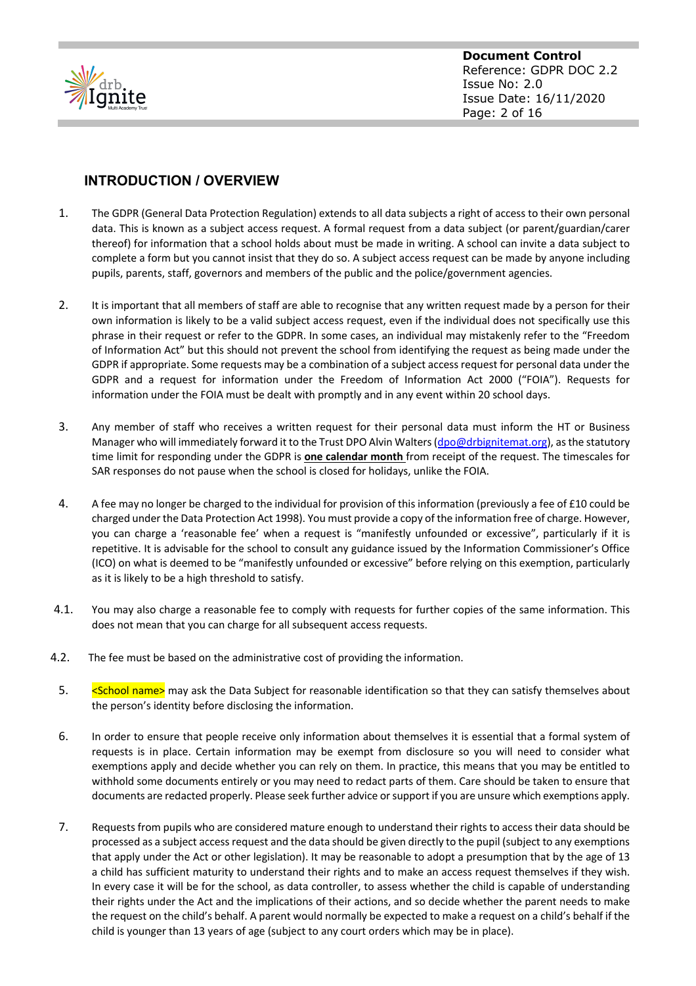

#### **INTRODUCTION / OVERVIEW**

- 1. The GDPR (General Data Protection Regulation) extends to all data subjects a right of access to their own personal data. This is known as a subject access request. A formal request from a data subject (or parent/guardian/carer thereof) for information that a school holds about must be made in writing. A school can invite a data subject to complete a form but you cannot insist that they do so. A subject access request can be made by anyone including pupils, parents, staff, governors and members of the public and the police/government agencies.
- 2. It is important that all members of staff are able to recognise that any written request made by a person for their own information is likely to be a valid subject access request, even if the individual does not specifically use this phrase in their request or refer to the GDPR. In some cases, an individual may mistakenly refer to the "Freedom of Information Act" but this should not prevent the school from identifying the request as being made under the GDPR if appropriate. Some requests may be a combination of a subject access request for personal data under the GDPR and a request for information under the Freedom of Information Act 2000 ("FOIA"). Requests for information under the FOIA must be dealt with promptly and in any event within 20 school days.
- 3. Any member of staff who receives a written request for their personal data must inform the HT or Business Manager who will immediately forward it to the Trust DPO Alvin Walters (dpo@drbignitemat.org), as the statutory time limit for responding under the GDPR is **one calendar month** from receipt of the request. The timescales for SAR responses do not pause when the school is closed for holidays, unlike the FOIA.
- 4. A fee may no longer be charged to the individual for provision of this information (previously a fee of £10 could be charged under the Data Protection Act 1998). You must provide a copy of the information free of charge. However, you can charge a 'reasonable fee' when a request is "manifestly unfounded or excessive", particularly if it is repetitive. It is advisable for the school to consult any guidance issued by the Information Commissioner's Office (ICO) on what is deemed to be "manifestly unfounded or excessive" before relying on this exemption, particularly as it is likely to be a high threshold to satisfy.
- 4.1. You may also charge a reasonable fee to comply with requests for further copies of the same information. This does not mean that you can charge for all subsequent access requests.
- 4.2. The fee must be based on the administrative cost of providing the information.
	- 5. School name> may ask the Data Subject for reasonable identification so that they can satisfy themselves about the person's identity before disclosing the information.
	- 6. In order to ensure that people receive only information about themselves it is essential that a formal system of requests is in place. Certain information may be exempt from disclosure so you will need to consider what exemptions apply and decide whether you can rely on them. In practice, this means that you may be entitled to withhold some documents entirely or you may need to redact parts of them. Care should be taken to ensure that documents are redacted properly. Please seek further advice or support if you are unsure which exemptions apply.
	- 7. Requests from pupils who are considered mature enough to understand their rights to access their data should be processed as a subject access request and the data should be given directly to the pupil (subject to any exemptions that apply under the Act or other legislation). It may be reasonable to adopt a presumption that by the age of 13 a child has sufficient maturity to understand their rights and to make an access request themselves if they wish. In every case it will be for the school, as data controller, to assess whether the child is capable of understanding their rights under the Act and the implications of their actions, and so decide whether the parent needs to make the request on the child's behalf. A parent would normally be expected to make a request on a child's behalf if the child is younger than 13 years of age (subject to any court orders which may be in place).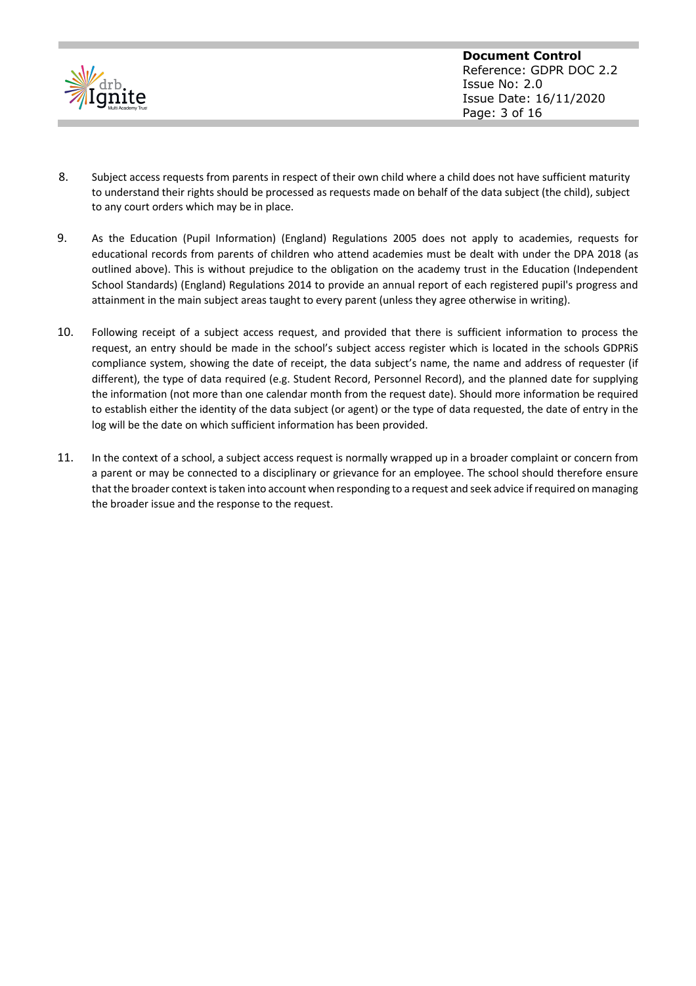

- 8. Subject access requests from parents in respect of their own child where a child does not have sufficient maturity to understand their rights should be processed as requests made on behalf of the data subject (the child), subject to any court orders which may be in place.
- 9. As the Education (Pupil Information) (England) Regulations 2005 does not apply to academies, requests for educational records from parents of children who attend academies must be dealt with under the DPA 2018 (as outlined above). This is without prejudice to the obligation on the academy trust in the Education (Independent School Standards) (England) Regulations 2014 to provide an annual report of each registered pupil's progress and attainment in the main subject areas taught to every parent (unless they agree otherwise in writing).
- 10. Following receipt of a subject access request, and provided that there is sufficient information to process the request, an entry should be made in the school's subject access register which is located in the schools GDPRiS compliance system, showing the date of receipt, the data subject's name, the name and address of requester (if different), the type of data required (e.g. Student Record, Personnel Record), and the planned date for supplying the information (not more than one calendar month from the request date). Should more information be required to establish either the identity of the data subject (or agent) or the type of data requested, the date of entry in the log will be the date on which sufficient information has been provided.
- 11. In the context of a school, a subject access request is normally wrapped up in a broader complaint or concern from a parent or may be connected to a disciplinary or grievance for an employee. The school should therefore ensure that the broader context is taken into account when responding to a request and seek advice if required on managing the broader issue and the response to the request.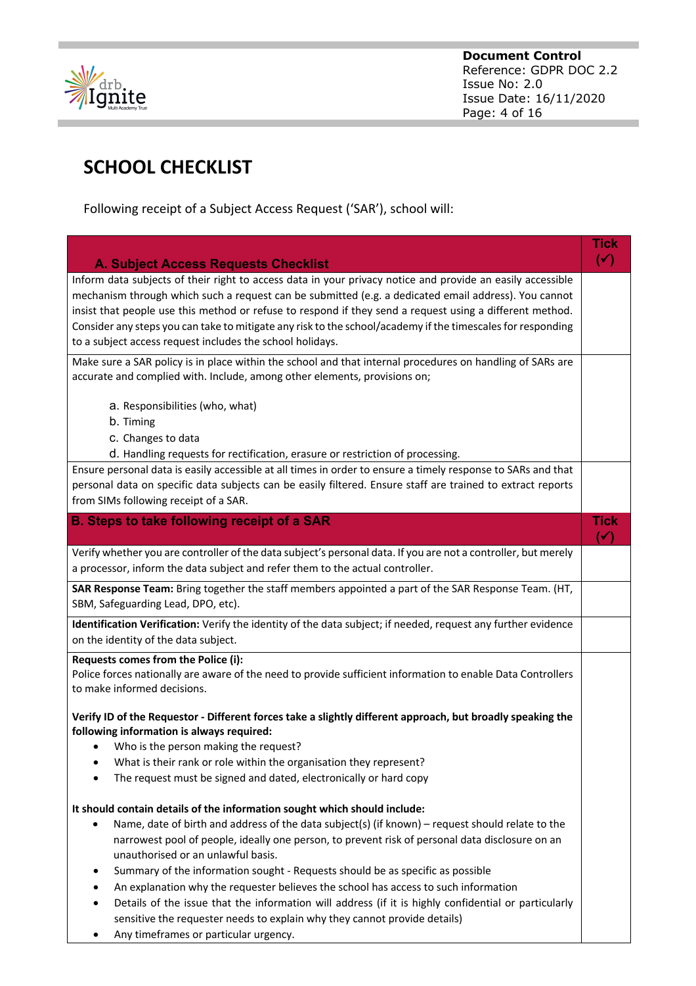

# **SCHOOL CHECKLIST**

Following receipt of a Subject Access Request ('SAR'), school will:

|                                                                                                                                                                                                                                                                                                                                                                                                                                                                                                            | <b>Tick</b>                   |
|------------------------------------------------------------------------------------------------------------------------------------------------------------------------------------------------------------------------------------------------------------------------------------------------------------------------------------------------------------------------------------------------------------------------------------------------------------------------------------------------------------|-------------------------------|
| <b>A. Subject Access Requests Checklist</b>                                                                                                                                                                                                                                                                                                                                                                                                                                                                | $(\checkmark)$                |
| Inform data subjects of their right to access data in your privacy notice and provide an easily accessible<br>mechanism through which such a request can be submitted (e.g. a dedicated email address). You cannot<br>insist that people use this method or refuse to respond if they send a request using a different method.<br>Consider any steps you can take to mitigate any risk to the school/academy if the timescales for responding<br>to a subject access request includes the school holidays. |                               |
| Make sure a SAR policy is in place within the school and that internal procedures on handling of SARs are<br>accurate and complied with. Include, among other elements, provisions on;                                                                                                                                                                                                                                                                                                                     |                               |
| a. Responsibilities (who, what)<br>b. Timing<br>c. Changes to data                                                                                                                                                                                                                                                                                                                                                                                                                                         |                               |
| d. Handling requests for rectification, erasure or restriction of processing.                                                                                                                                                                                                                                                                                                                                                                                                                              |                               |
| Ensure personal data is easily accessible at all times in order to ensure a timely response to SARs and that<br>personal data on specific data subjects can be easily filtered. Ensure staff are trained to extract reports<br>from SIMs following receipt of a SAR.                                                                                                                                                                                                                                       |                               |
| <b>B. Steps to take following receipt of a SAR</b>                                                                                                                                                                                                                                                                                                                                                                                                                                                         | <b>Tick</b><br>$(\checkmark)$ |
| Verify whether you are controller of the data subject's personal data. If you are not a controller, but merely<br>a processor, inform the data subject and refer them to the actual controller.                                                                                                                                                                                                                                                                                                            |                               |
| SAR Response Team: Bring together the staff members appointed a part of the SAR Response Team. (HT,<br>SBM, Safeguarding Lead, DPO, etc).                                                                                                                                                                                                                                                                                                                                                                  |                               |
| Identification Verification: Verify the identity of the data subject; if needed, request any further evidence<br>on the identity of the data subject.                                                                                                                                                                                                                                                                                                                                                      |                               |
| Requests comes from the Police (i):<br>Police forces nationally are aware of the need to provide sufficient information to enable Data Controllers<br>to make informed decisions.                                                                                                                                                                                                                                                                                                                          |                               |
| Verify ID of the Requestor - Different forces take a slightly different approach, but broadly speaking the<br>following information is always required:                                                                                                                                                                                                                                                                                                                                                    |                               |
| Who is the person making the request?                                                                                                                                                                                                                                                                                                                                                                                                                                                                      |                               |
| What is their rank or role within the organisation they represent?                                                                                                                                                                                                                                                                                                                                                                                                                                         |                               |
| The request must be signed and dated, electronically or hard copy                                                                                                                                                                                                                                                                                                                                                                                                                                          |                               |
| It should contain details of the information sought which should include:                                                                                                                                                                                                                                                                                                                                                                                                                                  |                               |
| Name, date of birth and address of the data subject(s) (if known) - request should relate to the<br>narrowest pool of people, ideally one person, to prevent risk of personal data disclosure on an<br>unauthorised or an unlawful basis.                                                                                                                                                                                                                                                                  |                               |
| Summary of the information sought - Requests should be as specific as possible<br>٠                                                                                                                                                                                                                                                                                                                                                                                                                        |                               |
| An explanation why the requester believes the school has access to such information                                                                                                                                                                                                                                                                                                                                                                                                                        |                               |
| Details of the issue that the information will address (if it is highly confidential or particularly<br>sensitive the requester needs to explain why they cannot provide details)                                                                                                                                                                                                                                                                                                                          |                               |
| Any timeframes or particular urgency.                                                                                                                                                                                                                                                                                                                                                                                                                                                                      |                               |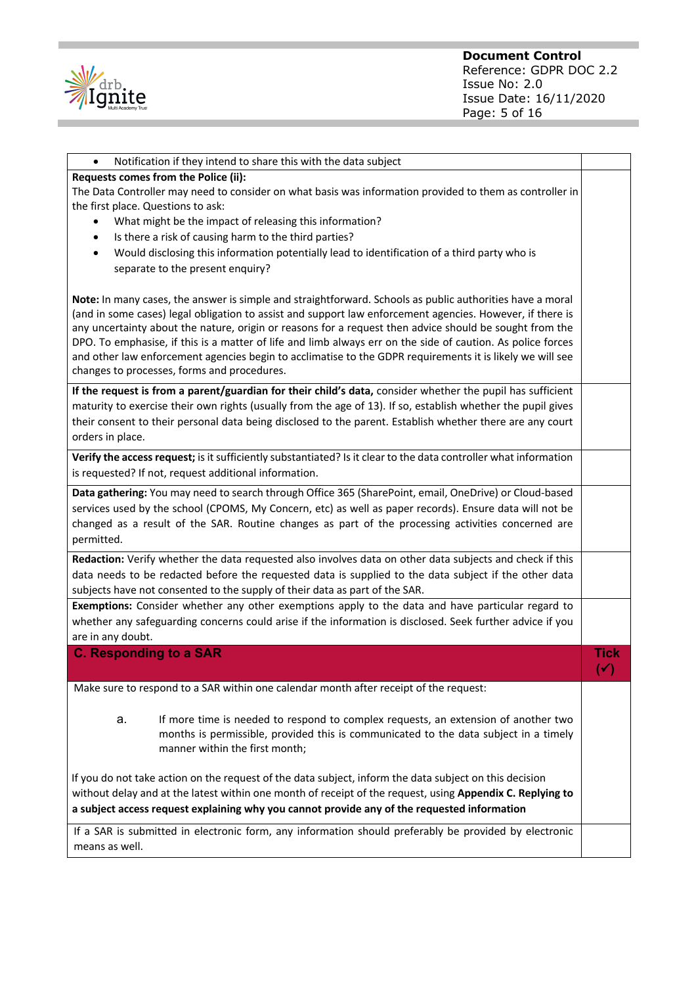

| Notification if they intend to share this with the data subject<br>$\bullet$                                                                                                                                                                                                                                                                                                                                                                                                                                                                                                                                 |                        |  |  |  |
|--------------------------------------------------------------------------------------------------------------------------------------------------------------------------------------------------------------------------------------------------------------------------------------------------------------------------------------------------------------------------------------------------------------------------------------------------------------------------------------------------------------------------------------------------------------------------------------------------------------|------------------------|--|--|--|
| Requests comes from the Police (ii):                                                                                                                                                                                                                                                                                                                                                                                                                                                                                                                                                                         |                        |  |  |  |
| The Data Controller may need to consider on what basis was information provided to them as controller in<br>the first place. Questions to ask:                                                                                                                                                                                                                                                                                                                                                                                                                                                               |                        |  |  |  |
| What might be the impact of releasing this information?<br>$\bullet$                                                                                                                                                                                                                                                                                                                                                                                                                                                                                                                                         |                        |  |  |  |
| Is there a risk of causing harm to the third parties?<br>٠                                                                                                                                                                                                                                                                                                                                                                                                                                                                                                                                                   |                        |  |  |  |
| Would disclosing this information potentially lead to identification of a third party who is<br>$\bullet$                                                                                                                                                                                                                                                                                                                                                                                                                                                                                                    |                        |  |  |  |
| separate to the present enquiry?                                                                                                                                                                                                                                                                                                                                                                                                                                                                                                                                                                             |                        |  |  |  |
| Note: In many cases, the answer is simple and straightforward. Schools as public authorities have a moral<br>(and in some cases) legal obligation to assist and support law enforcement agencies. However, if there is<br>any uncertainty about the nature, origin or reasons for a request then advice should be sought from the<br>DPO. To emphasise, if this is a matter of life and limb always err on the side of caution. As police forces<br>and other law enforcement agencies begin to acclimatise to the GDPR requirements it is likely we will see<br>changes to processes, forms and procedures. |                        |  |  |  |
| If the request is from a parent/guardian for their child's data, consider whether the pupil has sufficient                                                                                                                                                                                                                                                                                                                                                                                                                                                                                                   |                        |  |  |  |
| maturity to exercise their own rights (usually from the age of 13). If so, establish whether the pupil gives<br>their consent to their personal data being disclosed to the parent. Establish whether there are any court<br>orders in place.                                                                                                                                                                                                                                                                                                                                                                |                        |  |  |  |
| Verify the access request; is it sufficiently substantiated? Is it clear to the data controller what information                                                                                                                                                                                                                                                                                                                                                                                                                                                                                             |                        |  |  |  |
| is requested? If not, request additional information.                                                                                                                                                                                                                                                                                                                                                                                                                                                                                                                                                        |                        |  |  |  |
| Data gathering: You may need to search through Office 365 (SharePoint, email, OneDrive) or Cloud-based<br>services used by the school (CPOMS, My Concern, etc) as well as paper records). Ensure data will not be<br>changed as a result of the SAR. Routine changes as part of the processing activities concerned are<br>permitted.                                                                                                                                                                                                                                                                        |                        |  |  |  |
| Redaction: Verify whether the data requested also involves data on other data subjects and check if this                                                                                                                                                                                                                                                                                                                                                                                                                                                                                                     |                        |  |  |  |
| data needs to be redacted before the requested data is supplied to the data subject if the other data<br>subjects have not consented to the supply of their data as part of the SAR.                                                                                                                                                                                                                                                                                                                                                                                                                         |                        |  |  |  |
| Exemptions: Consider whether any other exemptions apply to the data and have particular regard to                                                                                                                                                                                                                                                                                                                                                                                                                                                                                                            |                        |  |  |  |
| whether any safeguarding concerns could arise if the information is disclosed. Seek further advice if you                                                                                                                                                                                                                                                                                                                                                                                                                                                                                                    |                        |  |  |  |
| are in any doubt.                                                                                                                                                                                                                                                                                                                                                                                                                                                                                                                                                                                            |                        |  |  |  |
| <b>C. Responding to a SAR</b>                                                                                                                                                                                                                                                                                                                                                                                                                                                                                                                                                                                | Tick<br>$(\checkmark)$ |  |  |  |
| Make sure to respond to a SAR within one calendar month after receipt of the request:                                                                                                                                                                                                                                                                                                                                                                                                                                                                                                                        |                        |  |  |  |
| If more time is needed to respond to complex requests, an extension of another two<br>a.<br>months is permissible, provided this is communicated to the data subject in a timely<br>manner within the first month;                                                                                                                                                                                                                                                                                                                                                                                           |                        |  |  |  |
| If you do not take action on the request of the data subject, inform the data subject on this decision<br>without delay and at the latest within one month of receipt of the request, using Appendix C. Replying to<br>a subject access request explaining why you cannot provide any of the requested information                                                                                                                                                                                                                                                                                           |                        |  |  |  |
| If a SAR is submitted in electronic form, any information should preferably be provided by electronic<br>means as well.                                                                                                                                                                                                                                                                                                                                                                                                                                                                                      |                        |  |  |  |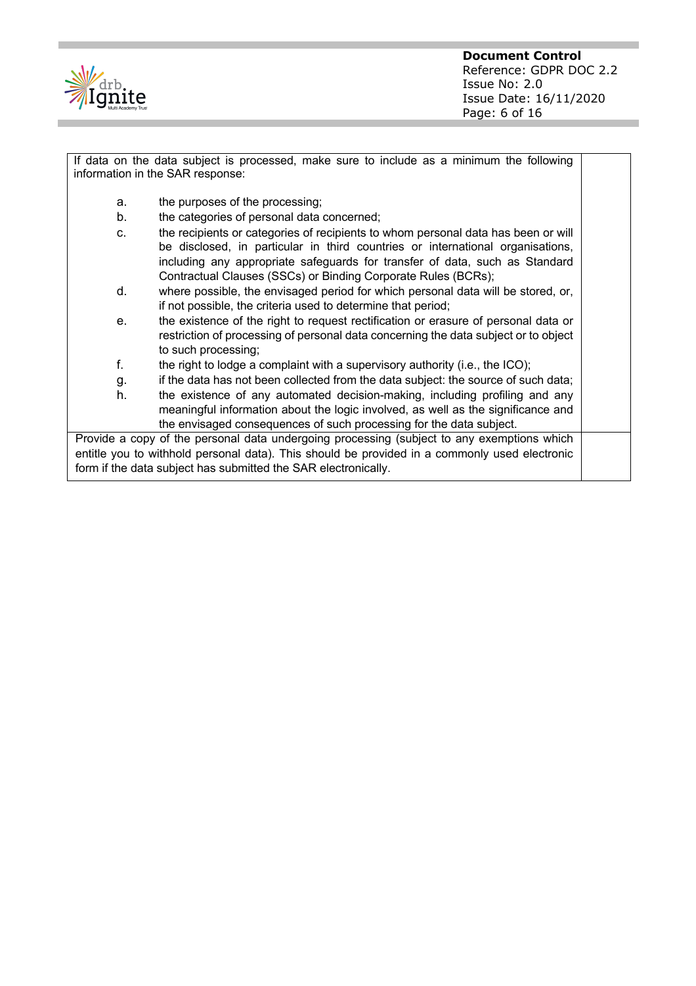

If data on the data subject is processed, make sure to include as a minimum the following information in the SAR response:

- a. the purposes of the processing;
- b. the categories of personal data concerned;
- c. the recipients or categories of recipients to whom personal data has been or will be disclosed, in particular in third countries or international organisations, including any appropriate safeguards for transfer of data, such as Standard Contractual Clauses (SSCs) or Binding Corporate Rules (BCRs);
- d. where possible, the envisaged period for which personal data will be stored, or, if not possible, the criteria used to determine that period;
- e. the existence of the right to request rectification or erasure of personal data or restriction of processing of personal data concerning the data subject or to object to such processing;
- f. the right to lodge a complaint with a supervisory authority (i.e., the ICO);
- g. if the data has not been collected from the data subject: the source of such data; h. the existence of any automated decision-making, including profiling and any meaningful information about the logic involved, as well as the significance and

the envisaged consequences of such processing for the data subject.

Provide a copy of the personal data undergoing processing (subject to any exemptions which entitle you to withhold personal data). This should be provided in a commonly used electronic form if the data subject has submitted the SAR electronically.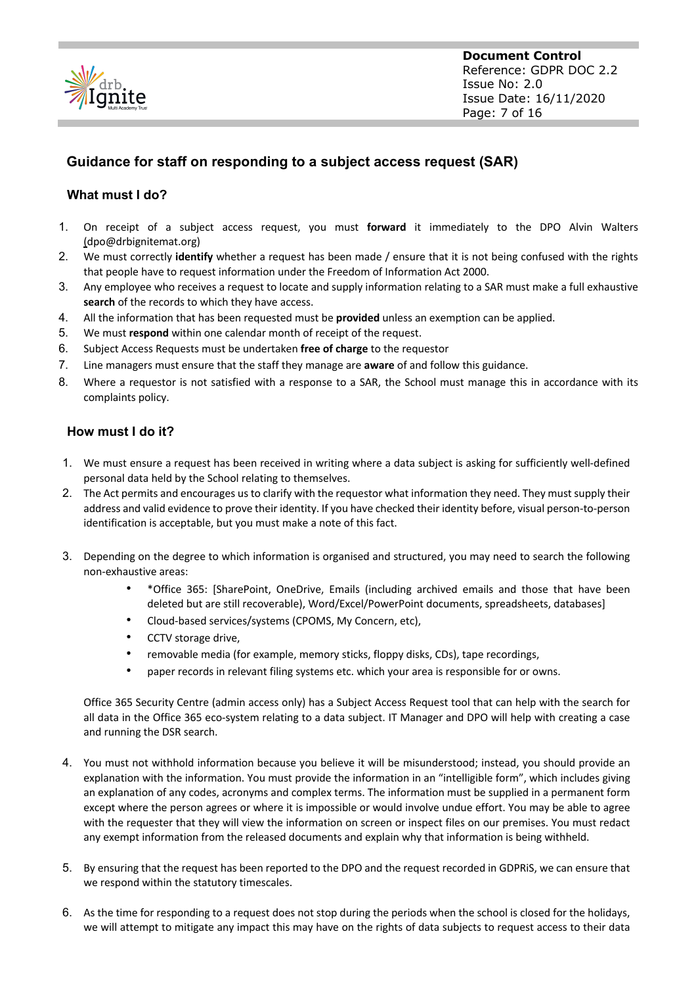

**Document Control** Reference: GDPR DOC 2.2 Issue No: 2.0 Issue Date: 16/11/2020 Page: 7 of 16

#### **Guidance for staff on responding to a subject access request (SAR)**

#### **What must I do?**

- 1. On receipt of a subject access request, you must **forward** it immediately to the DPO Alvin Walters (dpo@drbignitemat.org)
- 2. We must correctly **identify** whether a request has been made / ensure that it is not being confused with the rights that people have to request information under the Freedom of Information Act 2000.
- 3. Any employee who receives a request to locate and supply information relating to a SAR must make a full exhaustive **search** of the records to which they have access.
- 4. All the information that has been requested must be **provided** unless an exemption can be applied.
- 5. We must **respond** within one calendar month of receipt of the request.
- 6. Subject Access Requests must be undertaken **free of charge** to the requestor
- 7. Line managers must ensure that the staff they manage are **aware** of and follow this guidance.
- 8. Where a requestor is not satisfied with a response to a SAR, the School must manage this in accordance with its complaints policy.

#### **How must I do it?**

- 1. We must ensure a request has been received in writing where a data subject is asking for sufficiently well-defined personal data held by the School relating to themselves.
- 2. The Act permits and encourages us to clarify with the requestor what information they need. They must supply their address and valid evidence to prove their identity. If you have checked their identity before, visual person-to-person identification is acceptable, but you must make a note of this fact.
- 3. Depending on the degree to which information is organised and structured, you may need to search the following non-exhaustive areas:
	- \*Office 365: [SharePoint, OneDrive, Emails (including archived emails and those that have been deleted but are still recoverable), Word/Excel/PowerPoint documents, spreadsheets, databases]
	- Cloud-based services/systems (CPOMS, My Concern, etc),
	- CCTV storage drive,
	- removable media (for example, memory sticks, floppy disks, CDs), tape recordings,
	- paper records in relevant filing systems etc. which your area is responsible for or owns.

Office 365 Security Centre (admin access only) has a Subject Access Request tool that can help with the search for all data in the Office 365 eco-system relating to a data subject. IT Manager and DPO will help with creating a case and running the DSR search.

- 4. You must not withhold information because you believe it will be misunderstood; instead, you should provide an explanation with the information. You must provide the information in an "intelligible form", which includes giving an explanation of any codes, acronyms and complex terms. The information must be supplied in a permanent form except where the person agrees or where it is impossible or would involve undue effort. You may be able to agree with the requester that they will view the information on screen or inspect files on our premises. You must redact any exempt information from the released documents and explain why that information is being withheld.
- 5. By ensuring that the request has been reported to the DPO and the request recorded in GDPRiS, we can ensure that we respond within the statutory timescales.
- 6. As the time for responding to a request does not stop during the periods when the school is closed for the holidays, we will attempt to mitigate any impact this may have on the rights of data subjects to request access to their data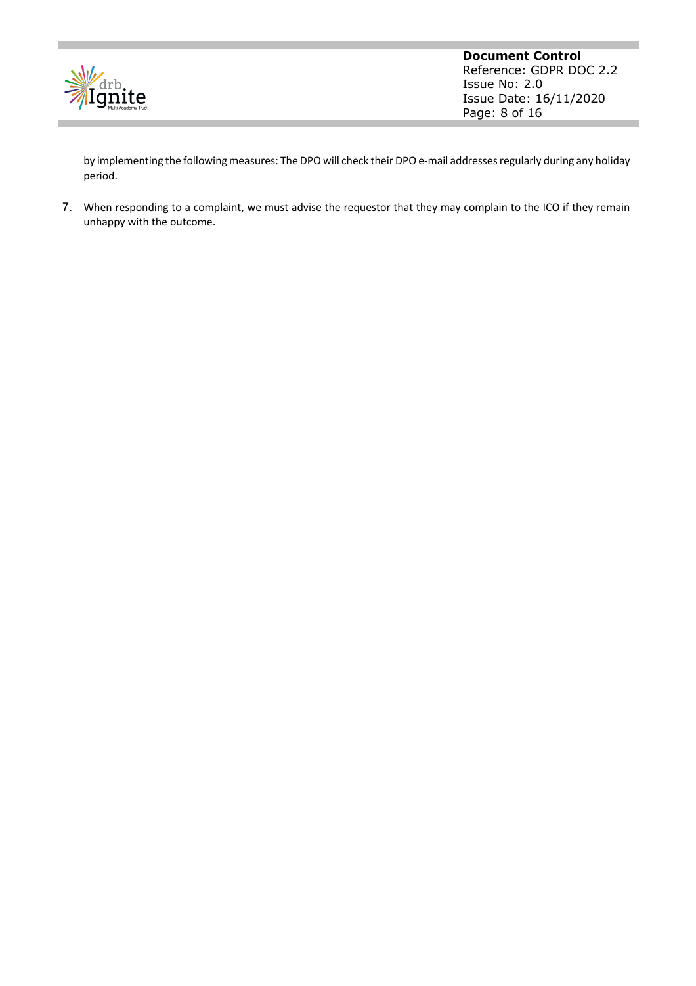

by implementing the following measures: The DPO will check their DPO e-mail addresses regularly during any holiday period.

7. When responding to a complaint, we must advise the requestor that they may complain to the ICO if they remain unhappy with the outcome.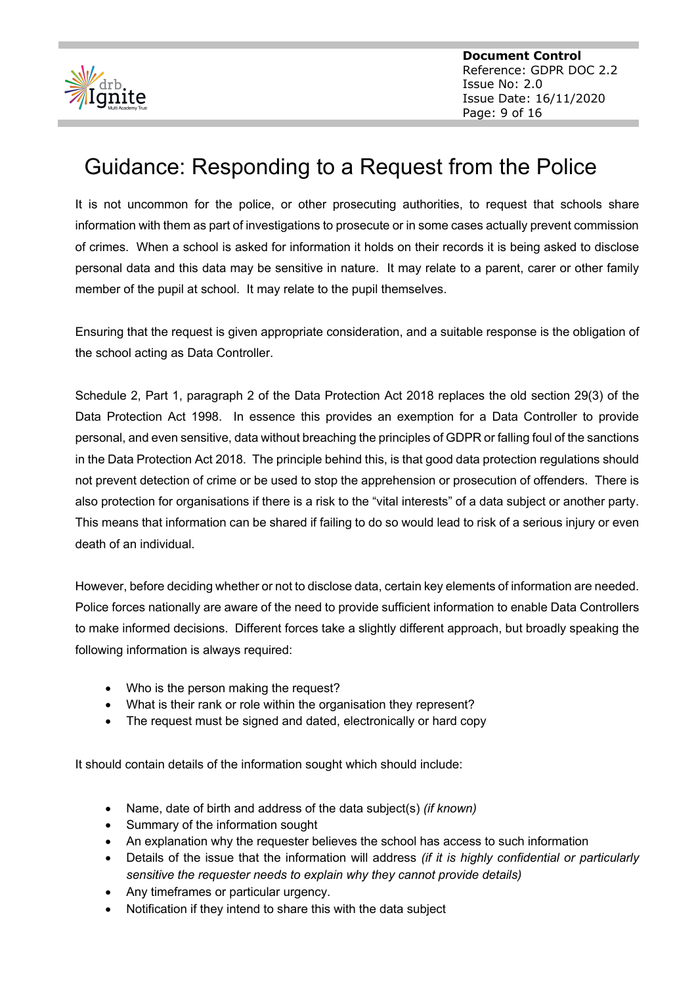

**Document Control** Reference: GDPR DOC 2.2 Issue No: 2.0 Issue Date: 16/11/2020 Page: 9 of 16

# Guidance: Responding to a Request from the Police

It is not uncommon for the police, or other prosecuting authorities, to request that schools share information with them as part of investigations to prosecute or in some cases actually prevent commission of crimes. When a school is asked for information it holds on their records it is being asked to disclose personal data and this data may be sensitive in nature. It may relate to a parent, carer or other family member of the pupil at school. It may relate to the pupil themselves.

Ensuring that the request is given appropriate consideration, and a suitable response is the obligation of the school acting as Data Controller.

Schedule 2, Part 1, paragraph 2 of the Data Protection Act 2018 replaces the old section 29(3) of the Data Protection Act 1998. In essence this provides an exemption for a Data Controller to provide personal, and even sensitive, data without breaching the principles of GDPR or falling foul of the sanctions in the Data Protection Act 2018. The principle behind this, is that good data protection regulations should not prevent detection of crime or be used to stop the apprehension or prosecution of offenders. There is also protection for organisations if there is a risk to the "vital interests" of a data subject or another party. This means that information can be shared if failing to do so would lead to risk of a serious injury or even death of an individual.

However, before deciding whether or not to disclose data, certain key elements of information are needed. Police forces nationally are aware of the need to provide sufficient information to enable Data Controllers to make informed decisions. Different forces take a slightly different approach, but broadly speaking the following information is always required:

- Who is the person making the request?
- What is their rank or role within the organisation they represent?
- The request must be signed and dated, electronically or hard copy

It should contain details of the information sought which should include:

- Name, date of birth and address of the data subject(s) *(if known)*
- Summary of the information sought
- An explanation why the requester believes the school has access to such information
- Details of the issue that the information will address *(if it is highly confidential or particularly sensitive the requester needs to explain why they cannot provide details)*
- Any timeframes or particular urgency.
- Notification if they intend to share this with the data subject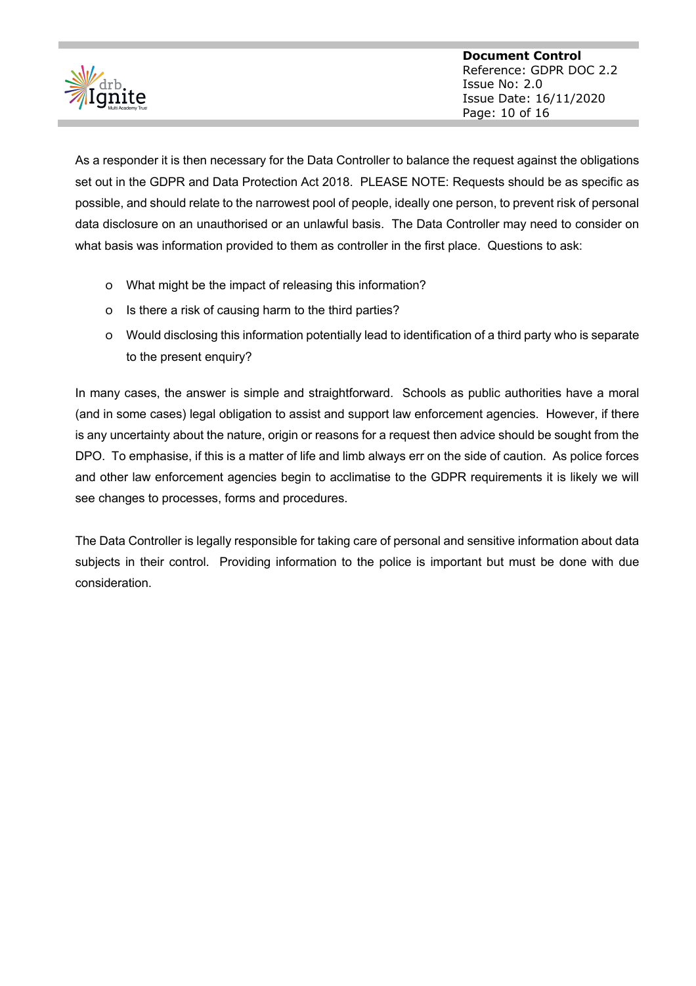

As a responder it is then necessary for the Data Controller to balance the request against the obligations set out in the GDPR and Data Protection Act 2018. PLEASE NOTE: Requests should be as specific as possible, and should relate to the narrowest pool of people, ideally one person, to prevent risk of personal data disclosure on an unauthorised or an unlawful basis. The Data Controller may need to consider on what basis was information provided to them as controller in the first place. Questions to ask:

- o What might be the impact of releasing this information?
- o Is there a risk of causing harm to the third parties?
- o Would disclosing this information potentially lead to identification of a third party who is separate to the present enquiry?

In many cases, the answer is simple and straightforward. Schools as public authorities have a moral (and in some cases) legal obligation to assist and support law enforcement agencies. However, if there is any uncertainty about the nature, origin or reasons for a request then advice should be sought from the DPO. To emphasise, if this is a matter of life and limb always err on the side of caution. As police forces and other law enforcement agencies begin to acclimatise to the GDPR requirements it is likely we will see changes to processes, forms and procedures.

The Data Controller is legally responsible for taking care of personal and sensitive information about data subjects in their control. Providing information to the police is important but must be done with due consideration.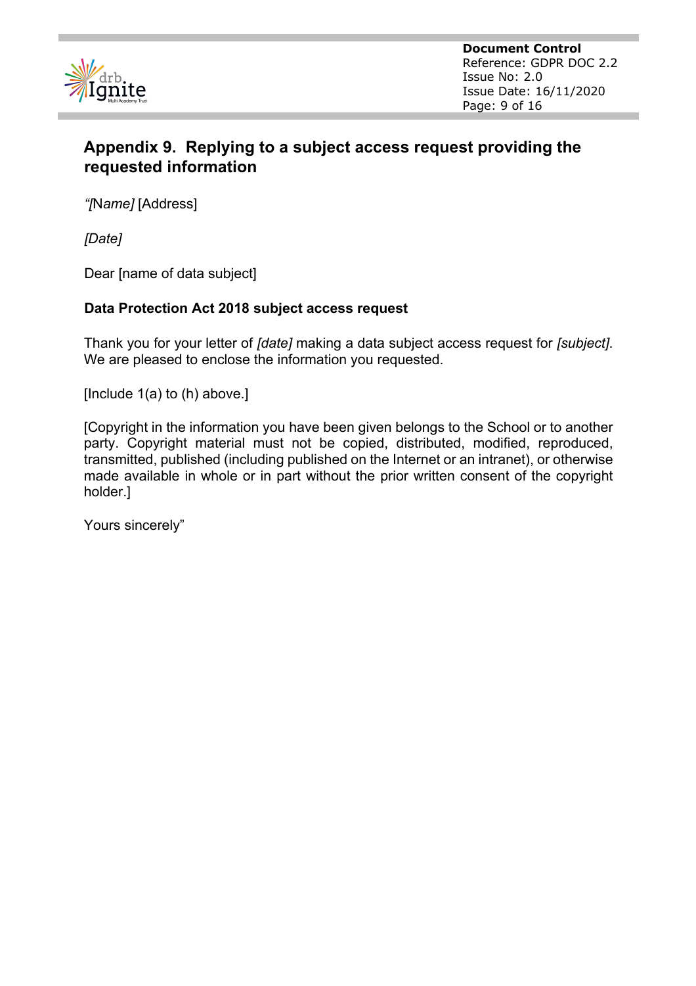

**Document Control** Reference: GDPR DOC 2.2 Issue No: 2.0 Issue Date: 16/11/2020 Page: 9 of 16

# **Appendix 9. Replying to a subject access request providing the requested information**

*"[*N*ame]* [Address]

*[Date]*

Dear [name of data subject]

#### **Data Protection Act 2018 subject access request**

Thank you for your letter of *[date]* making a data subject access request for *[subject]*. We are pleased to enclose the information you requested.

[Include 1(a) to (h) above.]

[Copyright in the information you have been given belongs to the School or to another party. Copyright material must not be copied, distributed, modified, reproduced, transmitted, published (including published on the Internet or an intranet), or otherwise made available in whole or in part without the prior written consent of the copyright holder.]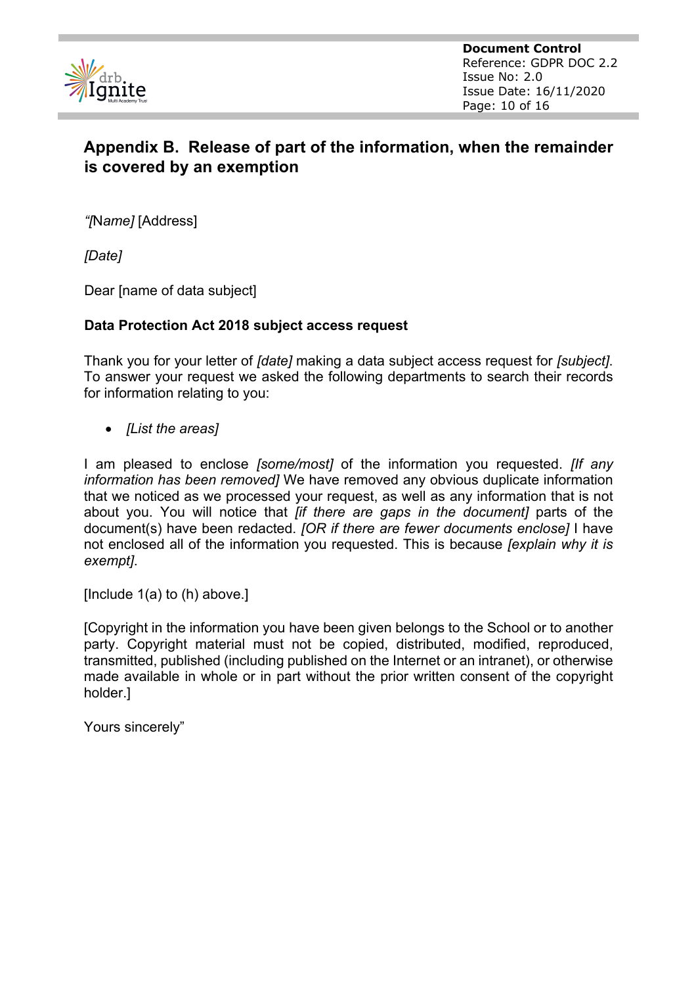

**Document Control** Reference: GDPR DOC 2.2 Issue No: 2.0 Issue Date: 16/11/2020 Page: 10 of 16

## **Appendix B. Release of part of the information, when the remainder is covered by an exemption**

*"[*N*ame]* [Address]

*[Date]*

Dear [name of data subject]

#### **Data Protection Act 2018 subject access request**

Thank you for your letter of *[date]* making a data subject access request for *[subject]*. To answer your request we asked the following departments to search their records for information relating to you:

• *[List the areas]* 

I am pleased to enclose *[some/most]* of the information you requested. *[If any information has been removed]* We have removed any obvious duplicate information that we noticed as we processed your request, as well as any information that is not about you. You will notice that *[if there are gaps in the document]* parts of the document(s) have been redacted. *[OR if there are fewer documents enclose]* I have not enclosed all of the information you requested. This is because *[explain why it is exempt]*.

[Include 1(a) to (h) above.]

[Copyright in the information you have been given belongs to the School or to another party. Copyright material must not be copied, distributed, modified, reproduced, transmitted, published (including published on the Internet or an intranet), or otherwise made available in whole or in part without the prior written consent of the copyright holder.]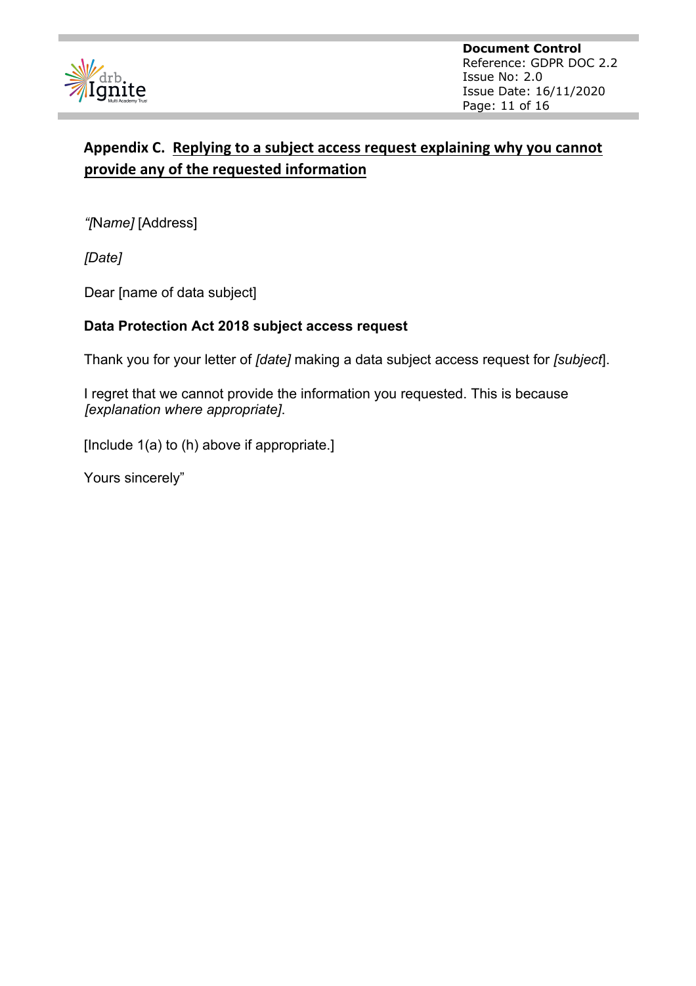

**Document Control** Reference: GDPR DOC 2.2 Issue No: 2.0 Issue Date: 16/11/2020 Page: 11 of 16

### **Appendix C. Replying to a subject access request explaining why you cannot provide any of the requested information**

*"[*N*ame]* [Address]

*[Date]*

Dear [name of data subject]

#### **Data Protection Act 2018 subject access request**

Thank you for your letter of *[date]* making a data subject access request for *[subject*].

I regret that we cannot provide the information you requested. This is because *[explanation where appropriate]*.

[Include 1(a) to (h) above if appropriate.]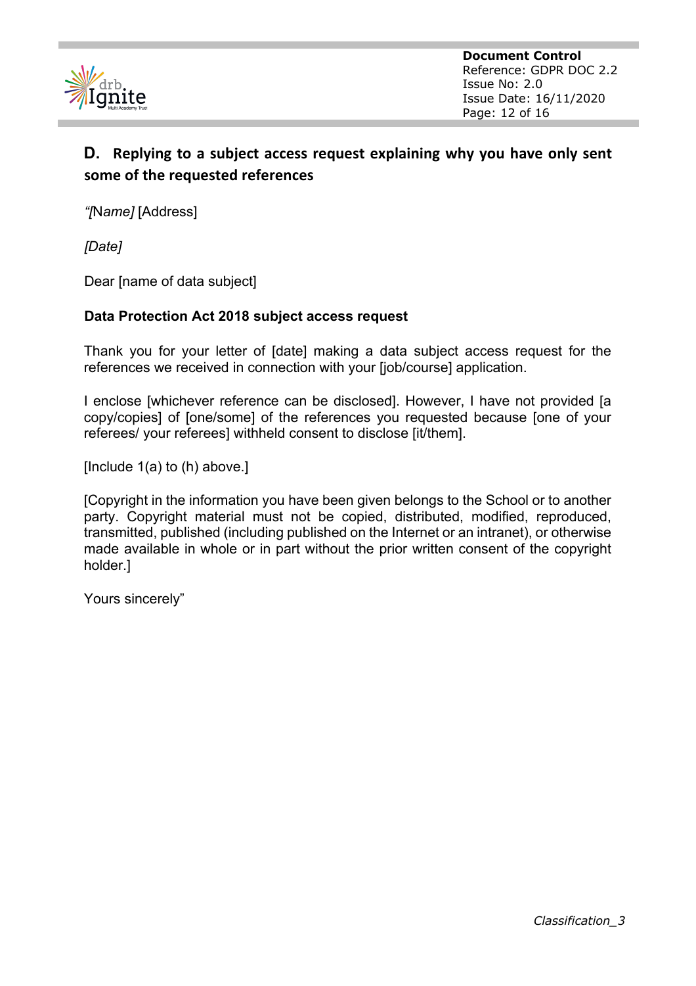

**Document Control** Reference: GDPR DOC 2.2 Issue No: 2.0 Issue Date: 16/11/2020 Page: 12 of 16

### **D. Replying to a subject access request explaining why you have only sent some of the requested references**

*"[*N*ame]* [Address]

*[Date]*

Dear [name of data subject]

#### **Data Protection Act 2018 subject access request**

Thank you for your letter of [date] making a data subject access request for the references we received in connection with your [job/course] application.

I enclose [whichever reference can be disclosed]. However, I have not provided [a copy/copies] of [one/some] of the references you requested because [one of your referees/ your referees] withheld consent to disclose [it/them].

[Include 1(a) to (h) above.]

[Copyright in the information you have been given belongs to the School or to another party. Copyright material must not be copied, distributed, modified, reproduced, transmitted, published (including published on the Internet or an intranet), or otherwise made available in whole or in part without the prior written consent of the copyright holder.]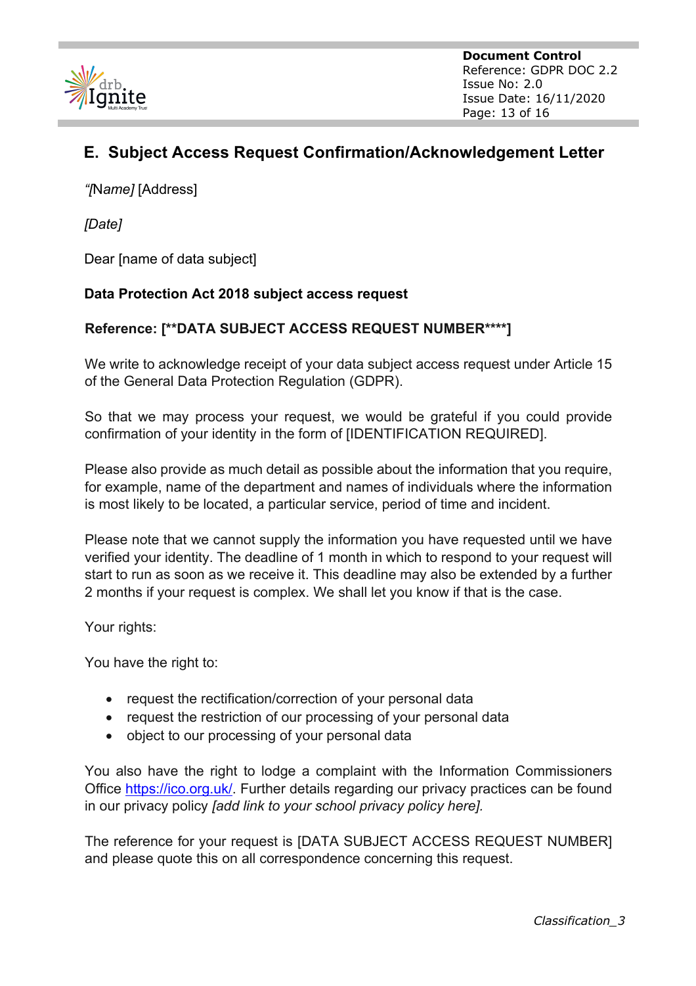

**Document Control** Reference: GDPR DOC 2.2 Issue No: 2.0 Issue Date: 16/11/2020 Page: 13 of 16

# **E. Subject Access Request Confirmation/Acknowledgement Letter**

*"[*N*ame]* [Address]

*[Date]*

Dear [name of data subject]

#### **Data Protection Act 2018 subject access request**

#### **Reference: [\*\*DATA SUBJECT ACCESS REQUEST NUMBER\*\*\*\*]**

We write to acknowledge receipt of your data subject access request under Article 15 of the General Data Protection Regulation (GDPR).

So that we may process your request, we would be grateful if you could provide confirmation of your identity in the form of [IDENTIFICATION REQUIRED].

Please also provide as much detail as possible about the information that you require, for example, name of the department and names of individuals where the information is most likely to be located, a particular service, period of time and incident.

Please note that we cannot supply the information you have requested until we have verified your identity. The deadline of 1 month in which to respond to your request will start to run as soon as we receive it. This deadline may also be extended by a further 2 months if your request is complex. We shall let you know if that is the case.

Your rights:

You have the right to:

- request the rectification/correction of your personal data
- request the restriction of our processing of your personal data
- object to our processing of your personal data

You also have the right to lodge a complaint with the Information Commissioners Office https://ico.org.uk/. Further details regarding our privacy practices can be found in our privacy policy *[add link to your school privacy policy here].*

The reference for your request is [DATA SUBJECT ACCESS REQUEST NUMBER] and please quote this on all correspondence concerning this request.